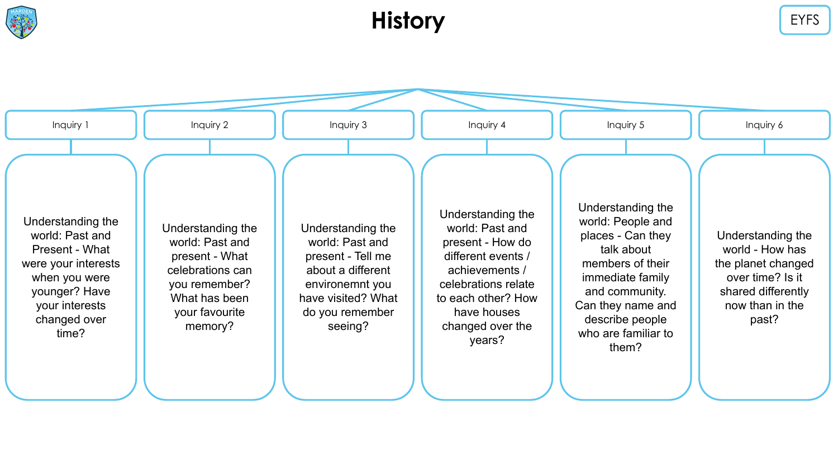

#### **History** EYFS

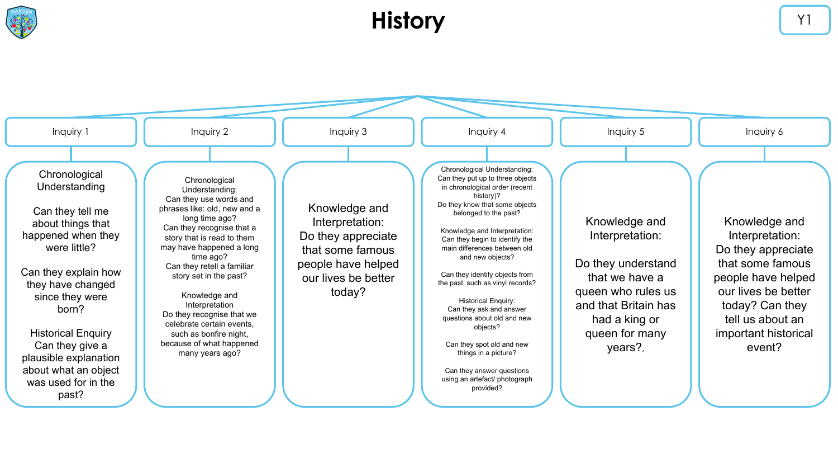

## **History History**

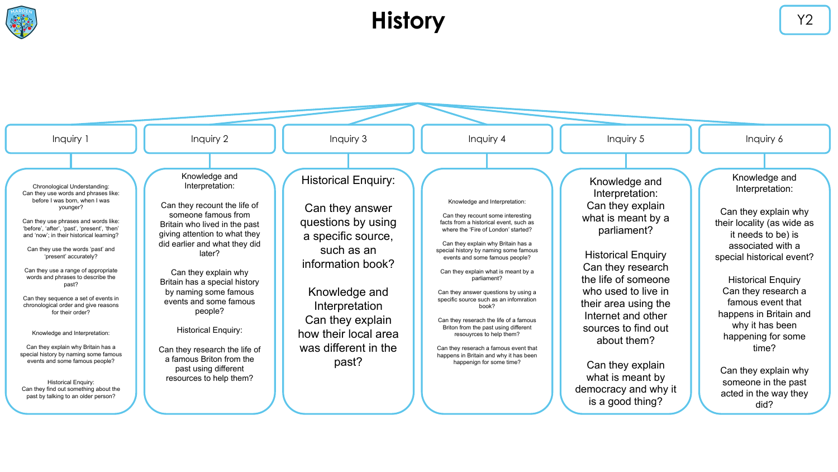

## **History** Y2

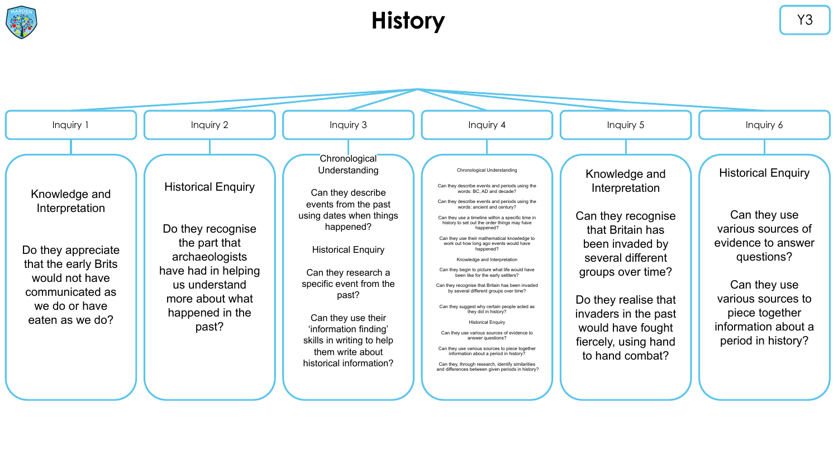

## **History Y3**

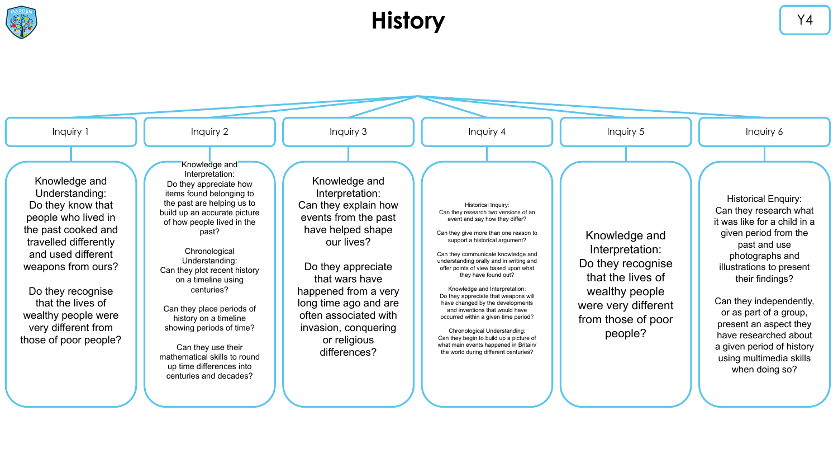

## **History VALUATE:**

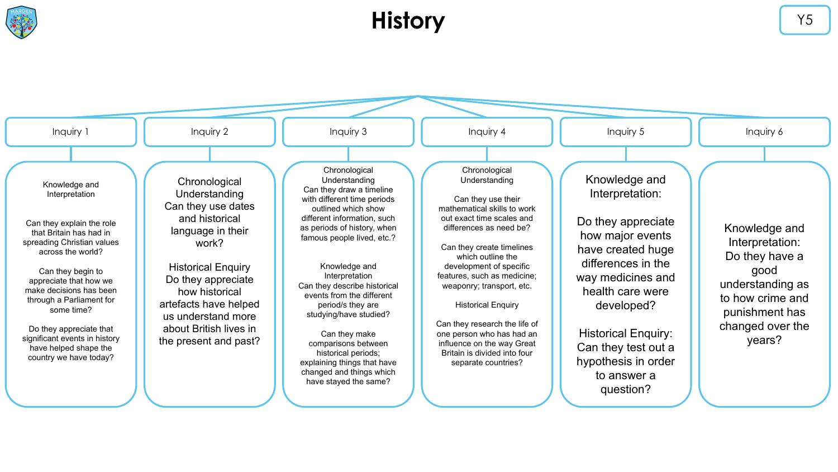

## **History V5**